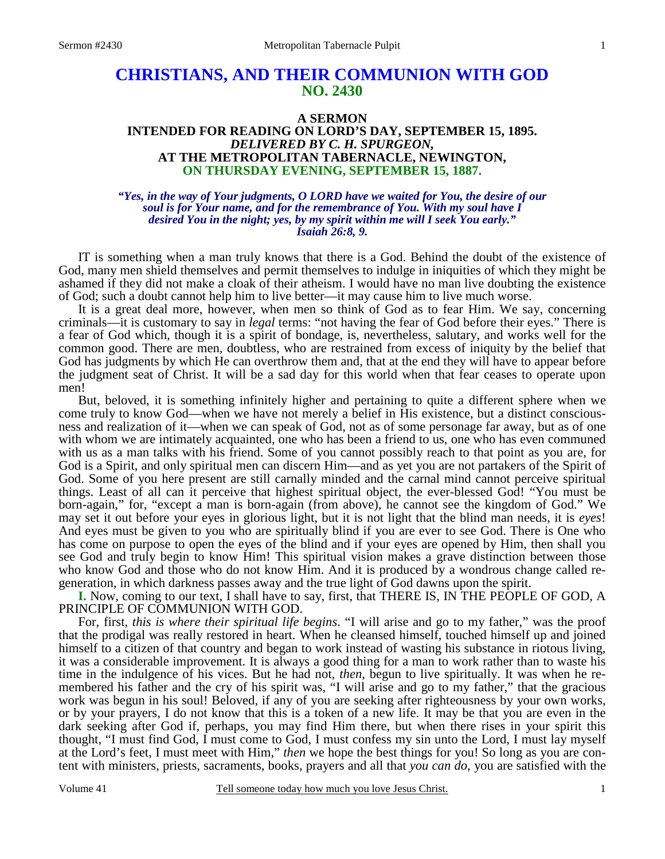# **CHRISTIANS, AND THEIR COMMUNION WITH GOD NO. 2430**

### **A SERMON INTENDED FOR READING ON LORD'S DAY, SEPTEMBER 15, 1895.**  *DELIVERED BY C. H. SPURGEON,*  **AT THE METROPOLITAN TABERNACLE, NEWINGTON, ON THURSDAY EVENING, SEPTEMBER 15, 1887.**

#### *"Yes, in the way of Your judgments, O LORD have we waited for You, the desire of our soul is for Your name, and for the remembrance of You. With my soul have I desired You in the night; yes, by my spirit within me will I seek You early." Isaiah 26:8, 9.*

IT is something when a man truly knows that there is a God. Behind the doubt of the existence of God, many men shield themselves and permit themselves to indulge in iniquities of which they might be ashamed if they did not make a cloak of their atheism. I would have no man live doubting the existence of God; such a doubt cannot help him to live better—it may cause him to live much worse.

It is a great deal more, however, when men so think of God as to fear Him. We say, concerning criminals—it is customary to say in *legal* terms: "not having the fear of God before their eyes." There is a fear of God which, though it is a spirit of bondage, is, nevertheless, salutary, and works well for the common good. There are men, doubtless, who are restrained from excess of iniquity by the belief that God has judgments by which He can overthrow them and, that at the end they will have to appear before the judgment seat of Christ. It will be a sad day for this world when that fear ceases to operate upon men!

But, beloved, it is something infinitely higher and pertaining to quite a different sphere when we come truly to know God—when we have not merely a belief in His existence, but a distinct consciousness and realization of it—when we can speak of God, not as of some personage far away, but as of one with whom we are intimately acquainted, one who has been a friend to us, one who has even communed with us as a man talks with his friend. Some of you cannot possibly reach to that point as you are, for God is a Spirit, and only spiritual men can discern Him—and as yet you are not partakers of the Spirit of God. Some of you here present are still carnally minded and the carnal mind cannot perceive spiritual things. Least of all can it perceive that highest spiritual object, the ever-blessed God! "You must be born-again," for, "except a man is born-again (from above), he cannot see the kingdom of God." We may set it out before your eyes in glorious light, but it is not light that the blind man needs, it is *eyes*! And eyes must be given to you who are spiritually blind if you are ever to see God. There is One who has come on purpose to open the eyes of the blind and if your eyes are opened by Him, then shall you see God and truly begin to know Him! This spiritual vision makes a grave distinction between those who know God and those who do not know Him. And it is produced by a wondrous change called regeneration, in which darkness passes away and the true light of God dawns upon the spirit.

**I.** Now, coming to our text, I shall have to say, first, that THERE IS, IN THE PEOPLE OF GOD, A PRINCIPLE OF COMMUNION WITH GOD.

For, first, *this is where their spiritual life begins*. "I will arise and go to my father," was the proof that the prodigal was really restored in heart. When he cleansed himself, touched himself up and joined himself to a citizen of that country and began to work instead of wasting his substance in riotous living, it was a considerable improvement. It is always a good thing for a man to work rather than to waste his time in the indulgence of his vices. But he had not, *then*, begun to live spiritually. It was when he remembered his father and the cry of his spirit was, "I will arise and go to my father," that the gracious work was begun in his soul! Beloved, if any of you are seeking after righteousness by your own works, or by your prayers, I do not know that this is a token of a new life. It may be that you are even in the dark seeking after God if, perhaps, you may find Him there, but when there rises in your spirit this thought, "I must find God, I must come to God, I must confess my sin unto the Lord, I must lay myself at the Lord's feet, I must meet with Him," *then* we hope the best things for you! So long as you are content with ministers, priests, sacraments, books, prayers and all that *you can do*, you are satisfied with the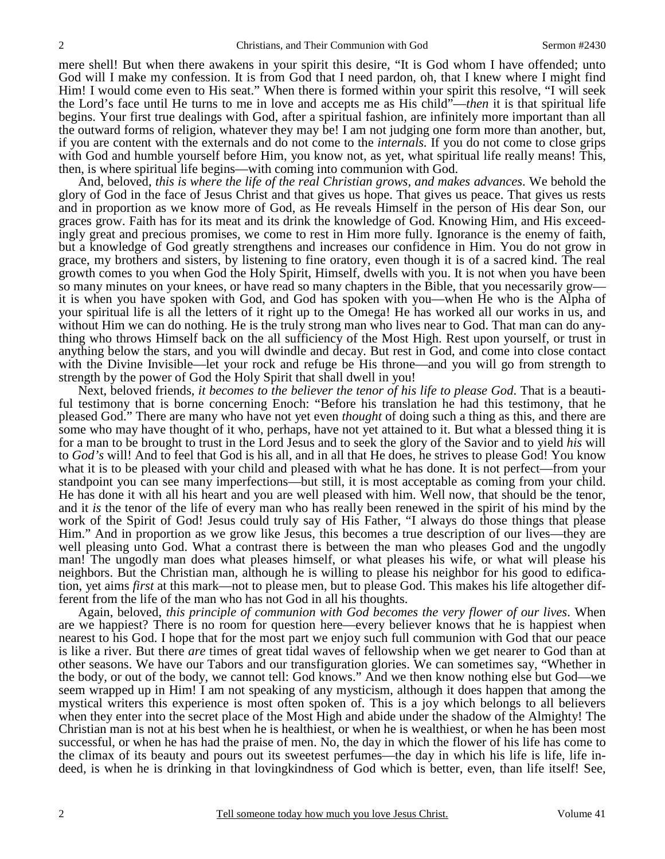mere shell! But when there awakens in your spirit this desire, "It is God whom I have offended; unto God will I make my confession. It is from God that I need pardon, oh, that I knew where I might find Him! I would come even to His seat." When there is formed within your spirit this resolve, "I will seek the Lord's face until He turns to me in love and accepts me as His child"—*then* it is that spiritual life begins. Your first true dealings with God, after a spiritual fashion, are infinitely more important than all the outward forms of religion, whatever they may be! I am not judging one form more than another, but, if you are content with the externals and do not come to the *internals.* If you do not come to close grips with God and humble yourself before Him, you know not, as yet, what spiritual life really means! This, then, is where spiritual life begins—with coming into communion with God.

And, beloved, *this is where the life of the real Christian grows, and makes advances*. We behold the glory of God in the face of Jesus Christ and that gives us hope. That gives us peace. That gives us rests and in proportion as we know more of God, as He reveals Himself in the person of His dear Son, our graces grow. Faith has for its meat and its drink the knowledge of God. Knowing Him, and His exceedingly great and precious promises, we come to rest in Him more fully. Ignorance is the enemy of faith, but a knowledge of God greatly strengthens and increases our confidence in Him. You do not grow in grace, my brothers and sisters, by listening to fine oratory, even though it is of a sacred kind. The real growth comes to you when God the Holy Spirit, Himself, dwells with you. It is not when you have been so many minutes on your knees, or have read so many chapters in the Bible, that you necessarily grow it is when you have spoken with God, and God has spoken with you—when He who is the Alpha of your spiritual life is all the letters of it right up to the Omega! He has worked all our works in us, and without Him we can do nothing. He is the truly strong man who lives near to God. That man can do anything who throws Himself back on the all sufficiency of the Most High. Rest upon yourself, or trust in anything below the stars, and you will dwindle and decay. But rest in God, and come into close contact with the Divine Invisible—let your rock and refuge be His throne—and you will go from strength to strength by the power of God the Holy Spirit that shall dwell in you!

Next, beloved friends, *it becomes to the believer the tenor of his life to please God*. That is a beautiful testimony that is borne concerning Enoch: "Before his translation he had this testimony, that he pleased God." There are many who have not yet even *thought* of doing such a thing as this, and there are some who may have thought of it who, perhaps, have not yet attained to it. But what a blessed thing it is for a man to be brought to trust in the Lord Jesus and to seek the glory of the Savior and to yield *his* will to *God's* will! And to feel that God is his all, and in all that He does, he strives to please God! You know what it is to be pleased with your child and pleased with what he has done. It is not perfect—from your standpoint you can see many imperfections—but still, it is most acceptable as coming from your child. He has done it with all his heart and you are well pleased with him. Well now, that should be the tenor, and it *is* the tenor of the life of every man who has really been renewed in the spirit of his mind by the work of the Spirit of God! Jesus could truly say of His Father, "I always do those things that please Him." And in proportion as we grow like Jesus, this becomes a true description of our lives—they are well pleasing unto God. What a contrast there is between the man who pleases God and the ungodly man! The ungodly man does what pleases himself, or what pleases his wife, or what will please his neighbors. But the Christian man, although he is willing to please his neighbor for his good to edification, yet aims *first* at this mark—not to please men, but to please God. This makes his life altogether different from the life of the man who has not God in all his thoughts.

Again, beloved, *this principle of communion with God becomes the very flower of our lives*. When are we happiest? There is no room for question here—every believer knows that he is happiest when nearest to his God. I hope that for the most part we enjoy such full communion with God that our peace is like a river. But there *are* times of great tidal waves of fellowship when we get nearer to God than at other seasons. We have our Tabors and our transfiguration glories. We can sometimes say, "Whether in the body, or out of the body, we cannot tell: God knows." And we then know nothing else but God—we seem wrapped up in Him! I am not speaking of any mysticism, although it does happen that among the mystical writers this experience is most often spoken of. This is a joy which belongs to all believers when they enter into the secret place of the Most High and abide under the shadow of the Almighty! The Christian man is not at his best when he is healthiest, or when he is wealthiest, or when he has been most successful, or when he has had the praise of men. No, the day in which the flower of his life has come to the climax of its beauty and pours out its sweetest perfumes—the day in which his life is life, life indeed, is when he is drinking in that lovingkindness of God which is better, even, than life itself! See,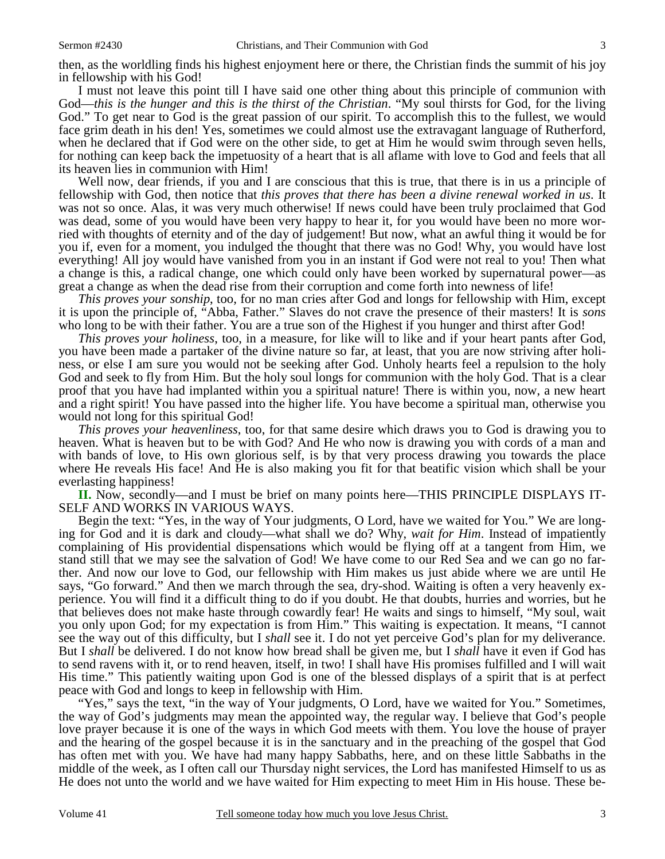then, as the worldling finds his highest enjoyment here or there, the Christian finds the summit of his joy in fellowship with his God!

I must not leave this point till I have said one other thing about this principle of communion with God—*this is the hunger and this is the thirst of the Christian*. "My soul thirsts for God, for the living God." To get near to God is the great passion of our spirit. To accomplish this to the fullest, we would face grim death in his den! Yes, sometimes we could almost use the extravagant language of Rutherford, when he declared that if God were on the other side, to get at Him he would swim through seven hells, for nothing can keep back the impetuosity of a heart that is all aflame with love to God and feels that all its heaven lies in communion with Him!

Well now, dear friends, if you and I are conscious that this is true, that there is in us a principle of fellowship with God, then notice that *this proves that there has been a divine renewal worked in us*. It was not so once. Alas, it was very much otherwise! If news could have been truly proclaimed that God was dead, some of you would have been very happy to hear it, for you would have been no more worried with thoughts of eternity and of the day of judgement! But now, what an awful thing it would be for you if, even for a moment, you indulged the thought that there was no God! Why, you would have lost everything! All joy would have vanished from you in an instant if God were not real to you! Then what a change is this, a radical change, one which could only have been worked by supernatural power—as great a change as when the dead rise from their corruption and come forth into newness of life!

*This proves your sonship*, too, for no man cries after God and longs for fellowship with Him, except it is upon the principle of, "Abba, Father." Slaves do not crave the presence of their masters! It is *sons* who long to be with their father. You are a true son of the Highest if you hunger and thirst after God!

*This proves your holiness*, too, in a measure, for like will to like and if your heart pants after God, you have been made a partaker of the divine nature so far, at least, that you are now striving after holiness, or else I am sure you would not be seeking after God. Unholy hearts feel a repulsion to the holy God and seek to fly from Him. But the holy soul longs for communion with the holy God. That is a clear proof that you have had implanted within you a spiritual nature! There is within you, now, a new heart and a right spirit! You have passed into the higher life. You have become a spiritual man, otherwise you would not long for this spiritual God!

*This proves your heavenliness*, too, for that same desire which draws you to God is drawing you to heaven. What is heaven but to be with God? And He who now is drawing you with cords of a man and with bands of love, to His own glorious self, is by that very process drawing you towards the place where He reveals His face! And He is also making you fit for that beatific vision which shall be your everlasting happiness!

**II.** Now, secondly—and I must be brief on many points here—THIS PRINCIPLE DISPLAYS IT-SELF AND WORKS IN VARIOUS WAYS.

Begin the text: "Yes, in the way of Your judgments, O Lord, have we waited for You." We are longing for God and it is dark and cloudy—what shall we do? Why, *wait for Him*. Instead of impatiently complaining of His providential dispensations which would be flying off at a tangent from Him, we stand still that we may see the salvation of God! We have come to our Red Sea and we can go no farther. And now our love to God, our fellowship with Him makes us just abide where we are until He says, "Go forward." And then we march through the sea, dry-shod. Waiting is often a very heavenly experience. You will find it a difficult thing to do if you doubt. He that doubts, hurries and worries, but he that believes does not make haste through cowardly fear! He waits and sings to himself, "My soul, wait you only upon God; for my expectation is from Him." This waiting is expectation. It means, "I cannot see the way out of this difficulty, but I *shall* see it. I do not yet perceive God's plan for my deliverance. But I *shall* be delivered. I do not know how bread shall be given me, but I *shall* have it even if God has to send ravens with it, or to rend heaven, itself, in two! I shall have His promises fulfilled and I will wait His time." This patiently waiting upon God is one of the blessed displays of a spirit that is at perfect peace with God and longs to keep in fellowship with Him.

"Yes," says the text, "in the way of Your judgments, O Lord, have we waited for You." Sometimes, the way of God's judgments may mean the appointed way, the regular way. I believe that God's people love prayer because it is one of the ways in which God meets with them. You love the house of prayer and the hearing of the gospel because it is in the sanctuary and in the preaching of the gospel that God has often met with you. We have had many happy Sabbaths, here, and on these little Sabbaths in the middle of the week, as I often call our Thursday night services, the Lord has manifested Himself to us as He does not unto the world and we have waited for Him expecting to meet Him in His house. These be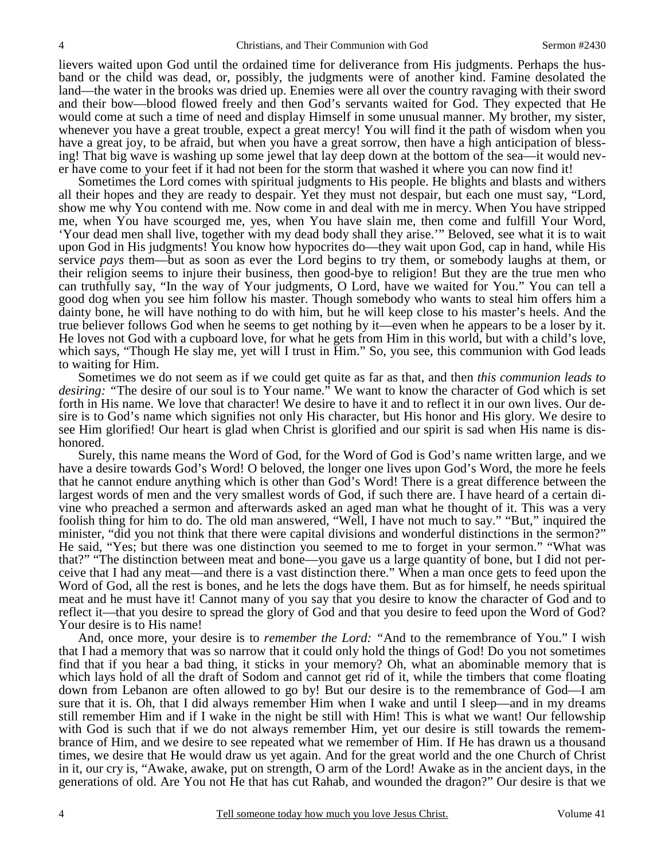lievers waited upon God until the ordained time for deliverance from His judgments. Perhaps the husband or the child was dead, or, possibly, the judgments were of another kind. Famine desolated the land—the water in the brooks was dried up. Enemies were all over the country ravaging with their sword and their bow—blood flowed freely and then God's servants waited for God. They expected that He would come at such a time of need and display Himself in some unusual manner. My brother, my sister, whenever you have a great trouble, expect a great mercy! You will find it the path of wisdom when you have a great joy, to be afraid, but when you have a great sorrow, then have a high anticipation of blessing! That big wave is washing up some jewel that lay deep down at the bottom of the sea—it would never have come to your feet if it had not been for the storm that washed it where you can now find it!

Sometimes the Lord comes with spiritual judgments to His people. He blights and blasts and withers all their hopes and they are ready to despair. Yet they must not despair, but each one must say, "Lord, show me why You contend with me. Now come in and deal with me in mercy. When You have stripped me, when You have scourged me, yes, when You have slain me, then come and fulfill Your Word, 'Your dead men shall live, together with my dead body shall they arise.'" Beloved, see what it is to wait upon God in His judgments! You know how hypocrites do—they wait upon God, cap in hand, while His service *pays* them—but as soon as ever the Lord begins to try them, or somebody laughs at them, or their religion seems to injure their business, then good-bye to religion! But they are the true men who can truthfully say, "In the way of Your judgments, O Lord, have we waited for You." You can tell a good dog when you see him follow his master. Though somebody who wants to steal him offers him a dainty bone, he will have nothing to do with him, but he will keep close to his master's heels. And the true believer follows God when he seems to get nothing by it—even when he appears to be a loser by it. He loves not God with a cupboard love, for what he gets from Him in this world, but with a child's love, which says, "Though He slay me, yet will I trust in Him." So, you see, this communion with God leads to waiting for Him.

Sometimes we do not seem as if we could get quite as far as that, and then *this communion leads to desiring: "*The desire of our soul is to Your name." We want to know the character of God which is set forth in His name. We love that character! We desire to have it and to reflect it in our own lives. Our desire is to God's name which signifies not only His character, but His honor and His glory. We desire to see Him glorified! Our heart is glad when Christ is glorified and our spirit is sad when His name is dishonored.

Surely, this name means the Word of God, for the Word of God is God's name written large, and we have a desire towards God's Word! O beloved, the longer one lives upon God's Word, the more he feels that he cannot endure anything which is other than God's Word! There is a great difference between the largest words of men and the very smallest words of God, if such there are. I have heard of a certain divine who preached a sermon and afterwards asked an aged man what he thought of it. This was a very foolish thing for him to do. The old man answered, "Well, I have not much to say." "But," inquired the minister, "did you not think that there were capital divisions and wonderful distinctions in the sermon?" He said, "Yes; but there was one distinction you seemed to me to forget in your sermon." "What was that?" "The distinction between meat and bone—you gave us a large quantity of bone, but I did not perceive that I had any meat—and there is a vast distinction there." When a man once gets to feed upon the Word of God, all the rest is bones, and he lets the dogs have them. But as for himself, he needs spiritual meat and he must have it! Cannot many of you say that you desire to know the character of God and to reflect it—that you desire to spread the glory of God and that you desire to feed upon the Word of God? Your desire is to His name!

And, once more, your desire is to *remember the Lord: "*And to the remembrance of You." I wish that I had a memory that was so narrow that it could only hold the things of God! Do you not sometimes find that if you hear a bad thing, it sticks in your memory? Oh, what an abominable memory that is which lays hold of all the draft of Sodom and cannot get rid of it, while the timbers that come floating down from Lebanon are often allowed to go by! But our desire is to the remembrance of God—I am sure that it is. Oh, that I did always remember Him when I wake and until I sleep—and in my dreams still remember Him and if I wake in the night be still with Him! This is what we want! Our fellowship with God is such that if we do not always remember Him, yet our desire is still towards the remembrance of Him, and we desire to see repeated what we remember of Him. If He has drawn us a thousand times, we desire that He would draw us yet again. And for the great world and the one Church of Christ in it, our cry is, "Awake, awake, put on strength, O arm of the Lord! Awake as in the ancient days, in the generations of old. Are You not He that has cut Rahab, and wounded the dragon?" Our desire is that we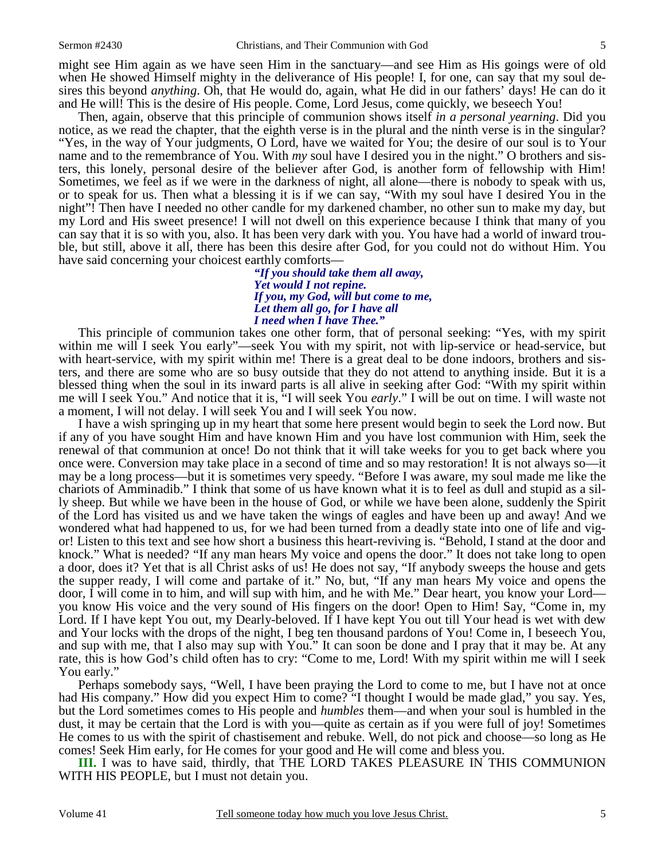might see Him again as we have seen Him in the sanctuary—and see Him as His goings were of old when He showed Himself mighty in the deliverance of His people! I, for one, can say that my soul desires this beyond *anything*. Oh, that He would do, again, what He did in our fathers' days! He can do it and He will! This is the desire of His people. Come, Lord Jesus, come quickly, we beseech You!

Then, again, observe that this principle of communion shows itself *in a personal yearning*. Did you notice, as we read the chapter, that the eighth verse is in the plural and the ninth verse is in the singular? "Yes, in the way of Your judgments, O Lord, have we waited for You; the desire of our soul is to Your name and to the remembrance of You. With *my* soul have I desired you in the night." O brothers and sisters, this lonely, personal desire of the believer after God, is another form of fellowship with Him! Sometimes, we feel as if we were in the darkness of night, all alone—there is nobody to speak with us, or to speak for us. Then what a blessing it is if we can say, "With my soul have I desired You in the night"! Then have I needed no other candle for my darkened chamber, no other sun to make my day, but my Lord and His sweet presence! I will not dwell on this experience because I think that many of you can say that it is so with you, also. It has been very dark with you. You have had a world of inward trouble, but still, above it all, there has been this desire after God, for you could not do without Him. You have said concerning your choicest earthly comforts—

> *"If you should take them all away, Yet would I not repine. If you, my God, will but come to me, Let them all go, for I have all I need when I have Thee."*

This principle of communion takes one other form, that of personal seeking: "Yes, with my spirit within me will I seek You early"—seek You with my spirit, not with lip-service or head-service, but with heart-service, with my spirit within me! There is a great deal to be done indoors, brothers and sisters, and there are some who are so busy outside that they do not attend to anything inside. But it is a blessed thing when the soul in its inward parts is all alive in seeking after God: "With my spirit within me will I seek You." And notice that it is, "I will seek You *early*." I will be out on time. I will waste not a moment, I will not delay. I will seek You and I will seek You now.

I have a wish springing up in my heart that some here present would begin to seek the Lord now. But if any of you have sought Him and have known Him and you have lost communion with Him, seek the renewal of that communion at once! Do not think that it will take weeks for you to get back where you once were. Conversion may take place in a second of time and so may restoration! It is not always so—it may be a long process—but it is sometimes very speedy. "Before I was aware, my soul made me like the chariots of Amminadib." I think that some of us have known what it is to feel as dull and stupid as a silly sheep. But while we have been in the house of God, or while we have been alone, suddenly the Spirit of the Lord has visited us and we have taken the wings of eagles and have been up and away! And we wondered what had happened to us, for we had been turned from a deadly state into one of life and vigor! Listen to this text and see how short a business this heart-reviving is. "Behold, I stand at the door and knock." What is needed? "If any man hears My voice and opens the door." It does not take long to open a door, does it? Yet that is all Christ asks of us! He does not say, "If anybody sweeps the house and gets the supper ready, I will come and partake of it." No, but, "If any man hears My voice and opens the door, I will come in to him, and will sup with him, and he with Me." Dear heart, you know your Lord you know His voice and the very sound of His fingers on the door! Open to Him! Say, "Come in, my Lord. If I have kept You out, my Dearly-beloved. If I have kept You out till Your head is wet with dew and Your locks with the drops of the night, I beg ten thousand pardons of You! Come in, I beseech You, and sup with me, that I also may sup with You." It can soon be done and I pray that it may be. At any rate, this is how God's child often has to cry: "Come to me, Lord! With my spirit within me will I seek You early."

Perhaps somebody says, "Well, I have been praying the Lord to come to me, but I have not at once had His company." How did you expect Him to come? "I thought I would be made glad," you say. Yes, but the Lord sometimes comes to His people and *humbles* them—and when your soul is humbled in the dust, it may be certain that the Lord is with you—quite as certain as if you were full of joy! Sometimes He comes to us with the spirit of chastisement and rebuke. Well, do not pick and choose—so long as He comes! Seek Him early, for He comes for your good and He will come and bless you.

**III.** I was to have said, thirdly, that THE LORD TAKES PLEASURE IN THIS COMMUNION WITH HIS PEOPLE, but I must not detain you.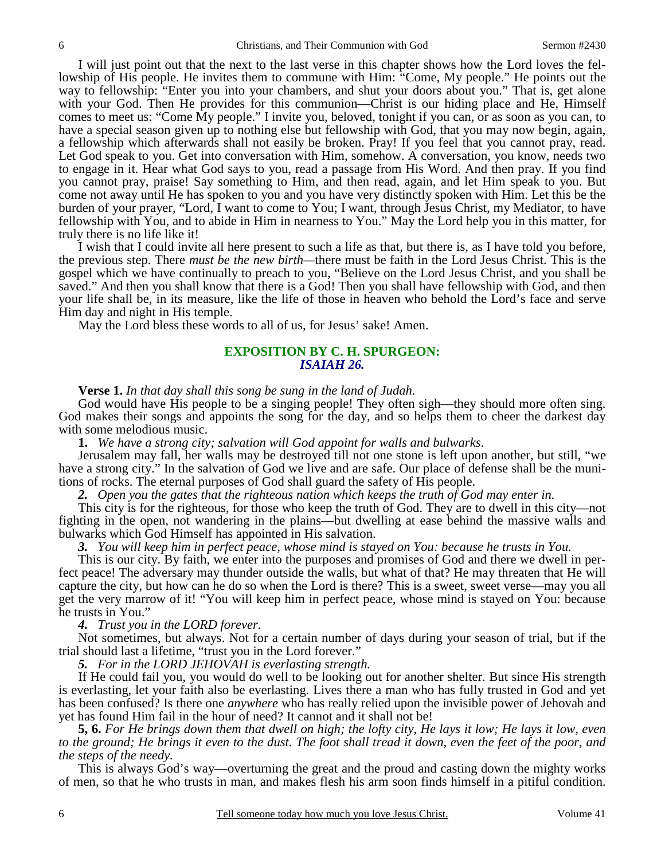I will just point out that the next to the last verse in this chapter shows how the Lord loves the fellowship of His people. He invites them to commune with Him: "Come, My people." He points out the way to fellowship: "Enter you into your chambers, and shut your doors about you." That is, get alone with your God. Then He provides for this communion—Christ is our hiding place and He, Himself comes to meet us: "Come My people." I invite you, beloved, tonight if you can, or as soon as you can, to have a special season given up to nothing else but fellowship with God, that you may now begin, again, a fellowship which afterwards shall not easily be broken. Pray! If you feel that you cannot pray, read. Let God speak to you. Get into conversation with Him, somehow. A conversation, you know, needs two to engage in it. Hear what God says to you, read a passage from His Word. And then pray. If you find you cannot pray, praise! Say something to Him, and then read, again, and let Him speak to you. But come not away until He has spoken to you and you have very distinctly spoken with Him. Let this be the burden of your prayer, "Lord, I want to come to You; I want, through Jesus Christ, my Mediator, to have fellowship with You, and to abide in Him in nearness to You." May the Lord help you in this matter, for truly there is no life like it!

I wish that I could invite all here present to such a life as that, but there is, as I have told you before, the previous step. There *must be the new birth—*there must be faith in the Lord Jesus Christ. This is the gospel which we have continually to preach to you, "Believe on the Lord Jesus Christ, and you shall be saved." And then you shall know that there is a God! Then you shall have fellowship with God, and then your life shall be, in its measure, like the life of those in heaven who behold the Lord's face and serve Him day and night in His temple.

May the Lord bless these words to all of us, for Jesus' sake! Amen.

#### **EXPOSITION BY C. H. SPURGEON:** *ISAIAH 26.*

#### **Verse 1.** *In that day shall this song be sung in the land of Judah.*

God would have His people to be a singing people! They often sigh—they should more often sing. God makes their songs and appoints the song for the day, and so helps them to cheer the darkest day with some melodious music.

**1.** *We have a strong city; salvation will God appoint for walls and bulwarks*.

Jerusalem may fall, her walls may be destroyed till not one stone is left upon another, but still, "we have a strong city." In the salvation of God we live and are safe. Our place of defense shall be the munitions of rocks. The eternal purposes of God shall guard the safety of His people.

*2. Open you the gates that the righteous nation which keeps the truth of God may enter in.* 

This city is for the righteous, for those who keep the truth of God. They are to dwell in this city—not fighting in the open, not wandering in the plains—but dwelling at ease behind the massive walls and bulwarks which God Himself has appointed in His salvation.

*3. You will keep him in perfect peace, whose mind is stayed on You: because he trusts in You.* 

This is our city. By faith, we enter into the purposes and promises of God and there we dwell in perfect peace! The adversary may thunder outside the walls, but what of that? He may threaten that He will capture the city, but how can he do so when the Lord is there? This is a sweet, sweet verse—may you all get the very marrow of it! "You will keep him in perfect peace, whose mind is stayed on You: because he trusts in You."

*4. Trust you in the LORD forever.* 

Not sometimes, but always. Not for a certain number of days during your season of trial, but if the trial should last a lifetime, "trust you in the Lord forever."

*5. For in the LORD JEHOVAH is everlasting strength.* 

If He could fail you, you would do well to be looking out for another shelter. But since His strength is everlasting, let your faith also be everlasting. Lives there a man who has fully trusted in God and yet has been confused? Is there one *anywhere* who has really relied upon the invisible power of Jehovah and yet has found Him fail in the hour of need? It cannot and it shall not be!

**5, 6.** *For He brings down them that dwell on high; the lofty city, He lays it low; He lays it low, even to the ground; He brings it even to the dust. The foot shall tread it down, even the feet of the poor, and the steps of the needy.* 

This is always God's way—overturning the great and the proud and casting down the mighty works of men, so that he who trusts in man, and makes flesh his arm soon finds himself in a pitiful condition.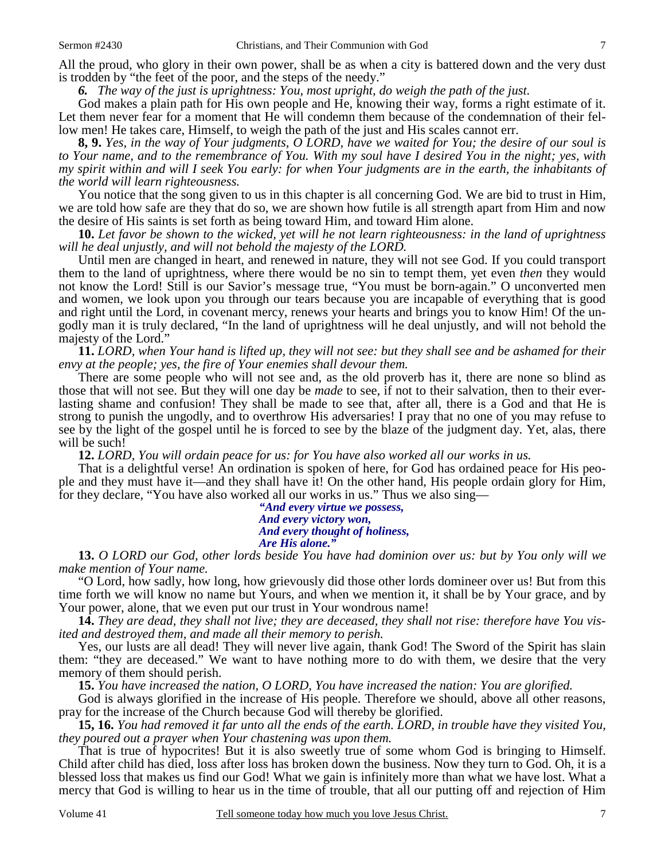All the proud, who glory in their own power, shall be as when a city is battered down and the very dust is trodden by "the feet of the poor, and the steps of the needy."

*6. The way of the just is uprightness: You, most upright, do weigh the path of the just.* 

God makes a plain path for His own people and He, knowing their way, forms a right estimate of it. Let them never fear for a moment that He will condemn them because of the condemnation of their fellow men! He takes care, Himself, to weigh the path of the just and His scales cannot err.

**8, 9.** *Yes, in the way of Your judgments, O LORD, have we waited for You; the desire of our soul is to Your name, and to the remembrance of You. With my soul have I desired You in the night; yes, with my spirit within and will I seek You early: for when Your judgments are in the earth, the inhabitants of the world will learn righteousness.* 

You notice that the song given to us in this chapter is all concerning God. We are bid to trust in Him, we are told how safe are they that do so, we are shown how futile is all strength apart from Him and now the desire of His saints is set forth as being toward Him, and toward Him alone.

**10.** *Let favor be shown to the wicked, yet will he not learn righteousness: in the land of uprightness will he deal unjustly, and will not behold the majesty of the LORD.* 

Until men are changed in heart, and renewed in nature, they will not see God. If you could transport them to the land of uprightness, where there would be no sin to tempt them, yet even *then* they would not know the Lord! Still is our Savior's message true, "You must be born-again." O unconverted men and women, we look upon you through our tears because you are incapable of everything that is good and right until the Lord, in covenant mercy, renews your hearts and brings you to know Him! Of the ungodly man it is truly declared, "In the land of uprightness will he deal unjustly, and will not behold the majesty of the Lord."

**11.** *LORD, when Your hand is lifted up, they will not see: but they shall see and be ashamed for their envy at the people; yes, the fire of Your enemies shall devour them.* 

There are some people who will not see and, as the old proverb has it, there are none so blind as those that will not see. But they will one day be *made* to see, if not to their salvation, then to their everlasting shame and confusion! They shall be made to see that, after all, there is a God and that He is strong to punish the ungodly, and to overthrow His adversaries! I pray that no one of you may refuse to see by the light of the gospel until he is forced to see by the blaze of the judgment day. Yet, alas, there will be such!

**12.** *LORD, You will ordain peace for us: for You have also worked all our works in us.* 

That is a delightful verse! An ordination is spoken of here, for God has ordained peace for His people and they must have it—and they shall have it! On the other hand, His people ordain glory for Him, for they declare, "You have also worked all our works in us." Thus we also sing—

> *"And every virtue we possess, And every victory won, And every thought of holiness, Are His alone."*

**13.** *O LORD our God, other lords beside You have had dominion over us: but by You only will we make mention of Your name.* 

"O Lord, how sadly, how long, how grievously did those other lords domineer over us! But from this time forth we will know no name but Yours, and when we mention it, it shall be by Your grace, and by Your power, alone, that we even put our trust in Your wondrous name!

**14.** *They are dead, they shall not live; they are deceased, they shall not rise: therefore have You visited and destroyed them, and made all their memory to perish.* 

Yes, our lusts are all dead! They will never live again, thank God! The Sword of the Spirit has slain them: "they are deceased." We want to have nothing more to do with them, we desire that the very memory of them should perish.

**15.** *You have increased the nation, O LORD, You have increased the nation: You are glorified.* 

God is always glorified in the increase of His people. Therefore we should, above all other reasons, pray for the increase of the Church because God will thereby be glorified.

**15, 16.** *You had removed it far unto all the ends of the earth. LORD, in trouble have they visited You, they poured out a prayer when Your chastening was upon them.* 

That is true of hypocrites! But it is also sweetly true of some whom God is bringing to Himself. Child after child has died, loss after loss has broken down the business. Now they turn to God. Oh, it is a blessed loss that makes us find our God! What we gain is infinitely more than what we have lost. What a mercy that God is willing to hear us in the time of trouble, that all our putting off and rejection of Him